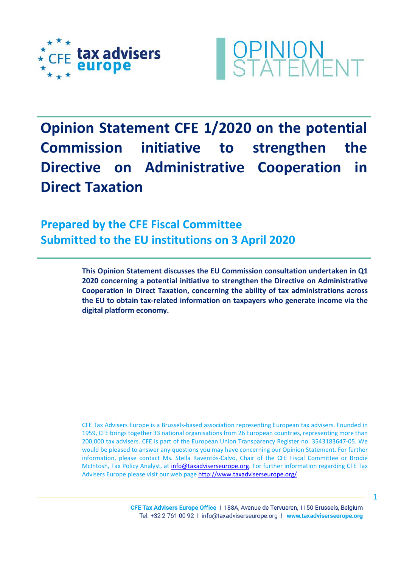



**Opinion Statement CFE 1/2020 on the potential Commission initiative to strengthen the Directive on Administrative Cooperation in Direct Taxation**

**Prepared by the CFE Fiscal Committee Submitted to the EU institutions on 3 April 2020**

> **This Opinion Statement discusses the EU Commission consultation undertaken in Q1 2020 concerning a potential initiative to strengthen the Directive on Administrative Cooperation in Direct Taxation, concerning the ability of tax administrations across the EU to obtain tax-related information on taxpayers who generate income via the digital platform economy.**

> CFE Tax Advisers Europe is a Brussels-based association representing European tax advisers. Founded in 1959, CFE brings together 33 national organisations from 26 European countries, representing more than 200,000 tax advisers. CFE is part of the European Union Transparency Register no. 3543183647-05. We would be pleased to answer any questions you may have concerning our Opinion Statement. For further information, please contact Ms. Stella Raventós-Calvo, Chair of the CFE Fiscal Committee or Brodie McIntosh, Tax Policy Analyst, at [info@taxadviserseurope.org.](mailto:info@taxadviserseurope.org) For further information regarding CFE Tax Advisers Europe please visit our web pag[e http://www.taxadviserseurope.org/](http://www.taxadviserseurope.org/)

> > CFE Tax Advisers Europe Office | 188A, Avenue de Tervueren, 1150 Brussels, Belgium Tel. +32 2 761 00 92 1 info@taxadviserseurope.org 1 www.taxadviserseurope.org

1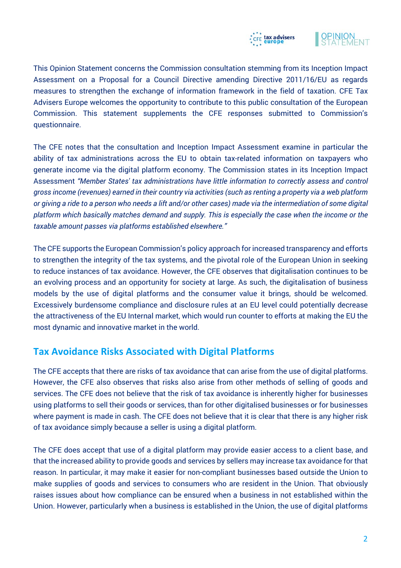



This Opinion Statement concerns the Commission consultation stemming from its Inception Impact Assessment on a Proposal for a Council Directive amending Directive 2011/16/EU as regards measures to strengthen the exchange of information framework in the field of taxation. CFE Tax Advisers Europe welcomes the opportunity to contribute to this public consultation of the European Commission. This statement supplements the CFE responses submitted to Commission's questionnaire.

The CFE notes that the consultation and Inception Impact Assessment examine in particular the ability of tax administrations across the EU to obtain tax-related information on taxpayers who generate income via the digital platform economy. The Commission states in its Inception Impact Assessment *"Member States' tax administrations have little information to correctly assess and control gross income (revenues) earned in their country via activities (such as renting a property via a web platform or giving a ride to a person who needs a lift and/or other cases) made via the intermediation of some digital platform which basically matches demand and supply. This is especially the case when the income or the taxable amount passes via platforms established elsewhere."* 

The CFE supports the European Commission's policy approach for increased transparency and efforts to strengthen the integrity of the tax systems, and the pivotal role of the European Union in seeking to reduce instances of tax avoidance. However, the CFE observes that digitalisation continues to be an evolving process and an opportunity for society at large. As such, the digitalisation of business models by the use of digital platforms and the consumer value it brings, should be welcomed. Excessively burdensome compliance and disclosure rules at an EU level could potentially decrease the attractiveness of the EU Internal market, which would run counter to efforts at making the EU the most dynamic and innovative market in the world.

## **Tax Avoidance Risks Associated with Digital Platforms**

The CFE accepts that there are risks of tax avoidance that can arise from the use of digital platforms. However, the CFE also observes that risks also arise from other methods of selling of goods and services. The CFE does not believe that the risk of tax avoidance is inherently higher for businesses using platforms to sell their goods or services, than for other digitalised businesses or for businesses where payment is made in cash. The CFE does not believe that it is clear that there is any higher risk of tax avoidance simply because a seller is using a digital platform.

The CFE does accept that use of a digital platform may provide easier access to a client base, and that the increased ability to provide goods and services by sellers may increase tax avoidance for that reason. In particular, it may make it easier for non-compliant businesses based outside the Union to make supplies of goods and services to consumers who are resident in the Union. That obviously raises issues about how compliance can be ensured when a business in not established within the Union. However, particularly when a business is established in the Union, the use of digital platforms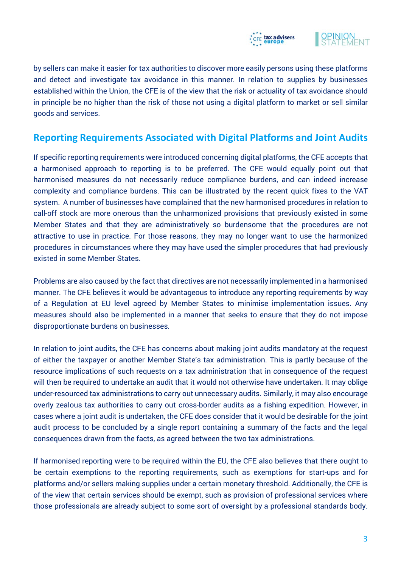



by sellers can make it easier for tax authorities to discover more easily persons using these platforms and detect and investigate tax avoidance in this manner. In relation to supplies by businesses established within the Union, the CFE is of the view that the risk or actuality of tax avoidance should in principle be no higher than the risk of those not using a digital platform to market or sell similar goods and services.

## **Reporting Requirements Associated with Digital Platforms and Joint Audits**

If specific reporting requirements were introduced concerning digital platforms, the CFE accepts that a harmonised approach to reporting is to be preferred. The CFE would equally point out that harmonised measures do not necessarily reduce compliance burdens, and can indeed increase complexity and compliance burdens. This can be illustrated by the recent quick fixes to the VAT system. A number of businesses have complained that the new harmonised procedures in relation to call-off stock are more onerous than the unharmonized provisions that previously existed in some Member States and that they are administratively so burdensome that the procedures are not attractive to use in practice. For those reasons, they may no longer want to use the harmonized procedures in circumstances where they may have used the simpler procedures that had previously existed in some Member States.

Problems are also caused by the fact that directives are not necessarily implemented in a harmonised manner. The CFE believes it would be advantageous to introduce any reporting requirements by way of a Regulation at EU level agreed by Member States to minimise implementation issues. Any measures should also be implemented in a manner that seeks to ensure that they do not impose disproportionate burdens on businesses.

In relation to joint audits, the CFE has concerns about making joint audits mandatory at the request of either the taxpayer or another Member State's tax administration. This is partly because of the resource implications of such requests on a tax administration that in consequence of the request will then be required to undertake an audit that it would not otherwise have undertaken. It may oblige under-resourced tax administrations to carry out unnecessary audits. Similarly, it may also encourage overly zealous tax authorities to carry out cross-border audits as a fishing expedition. However, in cases where a joint audit is undertaken, the CFE does consider that it would be desirable for the joint audit process to be concluded by a single report containing a summary of the facts and the legal consequences drawn from the facts, as agreed between the two tax administrations.

If harmonised reporting were to be required within the EU, the CFE also believes that there ought to be certain exemptions to the reporting requirements, such as exemptions for start-ups and for platforms and/or sellers making supplies under a certain monetary threshold. Additionally, the CFE is of the view that certain services should be exempt, such as provision of professional services where those professionals are already subject to some sort of oversight by a professional standards body.